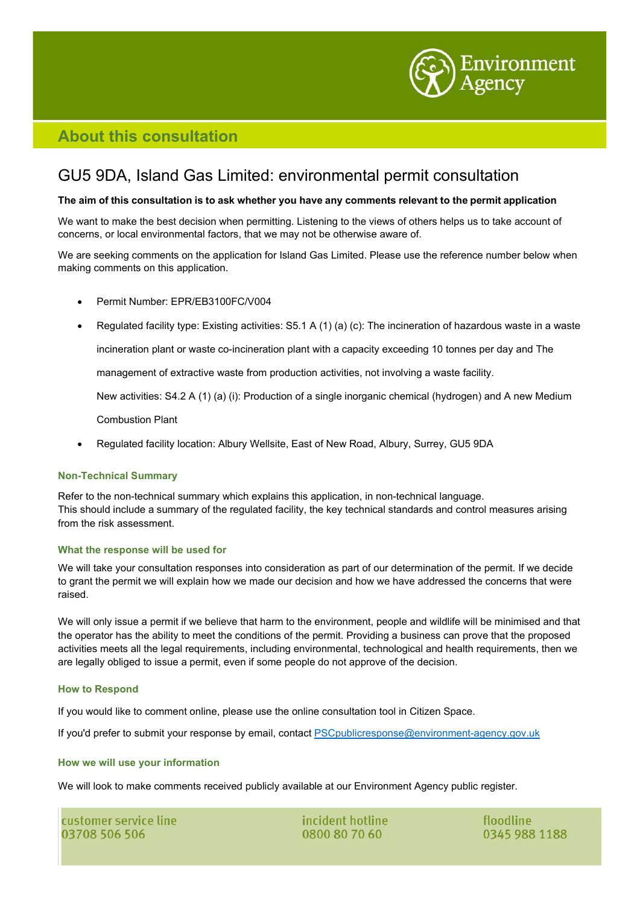

# **About this consultation**

# GU5 9DA, Island Gas Limited: environmental permit consultation

#### The aim of this consultation is to ask whether you have any comments relevant to the permit application

We want to make the best decision when permitting. Listening to the views of others helps us to take account of concerns, or local environmental factors, that we may not be otherwise aware of.

We are seeking comments on the application for Island Gas Limited. Please use the reference number below when making comments on this application.

- Permit Number: EPR/EB3100FC/V004
- Regulated facility type: Existing activities: S5.1 A (1) (a) (c): The incineration of hazardous waste in a waste

incineration plant or waste co-incineration plant with a capacity exceeding 10 tonnes per day and The

management of extractive waste from production activities, not involving a waste facility.

New activities: S4.2 A (1) (a) (i): Production of a single inorganic chemical (hydrogen) and A new Medium

Combustion Plant

• Regulated facility location: Albury Wellsite, East of New Road, Albury, Surrey, GU5 9DA

## **Non-Technical Summary**

Refer to the non-technical summary which explains this application, in non-technical language. This should include a summary of the regulated facility, the key technical standards and control measures arising from the risk assessment.

## **What the response will be used for**

We will take your consultation responses into consideration as part of our determination of the permit. If we decide to grant the permit we will explain how we made our decision and how we have addressed the concerns that were raised.

We will only issue a permit if we believe that harm to the environment, people and wildlife will be minimised and that the operator has the ability to meet the conditions of the permit. Providing a business can prove that the proposed activities meets all the legal requirements, including environmental, technological and health requirements, then we are legally obliged to issue a permit, even if some people do not approve of the decision.

## **How to Respond**

If you would like to comment online, please use the online consultation tool in Citizen Space.

If you'd prefer to submit your response by email, contact **[PSCpublicresponse@environment-agency.gov.uk](mailto:PSCpublicresponse@environment-agency.gov.uk)** 

#### **How we will use your information**

We will look to make comments received publicly available at our Environment Agency public register.

| customer service line |  |
|-----------------------|--|
| 03708 506 506         |  |

incident hotline 0800 80 70 60

floodline 0345 988 1188